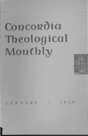# **Concordia** Theological **Monthly**



JANUARY • 1950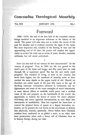### **Concordia Theological Monthly**

 $\mathbf{I}$ 

#### VOL. XXI JANUARY 1950 NO. 1

## **Foreword**

1900-1950: the end of the first half of the twentieth century brings mankind to an important milestone in the history of the world. The pastor will take time out to review the events of the past five decades and to evaluate correctly the signs of the times. But more important still, mindful of the fleeting of time and the approaching end of all time, the pastor will employ this opportunity to review his work not in terms of years, decades, centuries, millennia, but *sub specie aeternitatis.* 

I

How can this half of our century be best characterized? As the century of progress? True, in 1900 our life was geared to the snail's pace of the horse and buggy, and fifty years later we rush through life at supersonic speed. But has the race really made progress? The standard of living, at least in our country, has never been higher, but the standards of morality seem to have reached the same depths as the pagan world of old. Should we therefore not rather speak of the past fifty years as the age of shocking contrasts: tremendous advances in civilization and enlightenment and some of the worst examples of man's inhumanity to man; sincere efforts to establish world peace and a reckless waste of life and property on the battlefields of the world; the opportunity to harness the forces of nature for man's physical well-being and man's apparent determination to turn them into instruments of annihilation. Man has acquired the know-how to control the physical forces of nature in a degree heretofore unknown; yet he permits the evil forces in his own bosom to destroy him physically, morally, spiritually. Never before have Christian missions been conducted on so global a scale; at no other time have persecutions taken such a heavy toll of Christian lives as in Eastern Europe during our time.

1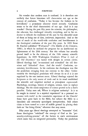No wonder that modern man is confused. It is therefore not unlikely that future historians will characterize our age as the century of confusion. "Today it has become the fashion to be bewildered," a prominent educator stated recently. Confusion seems to be the chief characteristic of our age. And is it any wonder? During the past fifty years the scientist, the philosopher, the educator, has challenged virtually everything, and in his endeavor to debunk the traditions of the past he has discarded most of them as being out of date, irrelevant, impractical. And at the root of much of the world-wide confusion and bewilderment is the theological confusion of the past fifty years. In 1899 Ernst H. Haeckel published *"Weltraetsel" (The Riddle of the Universe)*  1900), in which he outlined the program for an intellectual enlightenment of the 20th century. But this volume has actually proved itself to be the obituary of the 19th century scientific hypotheses. In 1899 Washington Gladden's *What Is Left of the Old Doctrines?* was hailed with delight in certain circles. Liberal theology had "re-examined and re-studied" the old doctrines and "debunked" them. And the result? Confusion, uncertainty, bewilderment. In his confusion the theologian was like the pendulum swinging from one extreme to the other. Unfortunately the theological pendulum will always do so if it is not regulated by the one inerrant norm. Liberal theology rejected the Scriptures as the only source of truth and in its stead established the scientific and empirical method as *principium cognoscendi.*  Psychology, sociology, history of religion, science, were to replace theology. But the omni-competence of science proved to be a fool's paradise. Today men ask, Where is religious authority? Is it to be sought in reason? in a mystical experience? in a personal encounter with truth? in the cumulative experience of the Church? Some have gone back to the Bible, but subject the Bible to a literalistic and extremely apocalyptic interpretation. Still others claim to have turned to a sort of middle ground by placing their faith on "the living Christ," whatever that may mean.

Fifty years ago liberal theology attempted to "humanize" God. Some theologians "redefined" the concept of God as the "personality-evolving-process," all the factors in one's environment which make him an integrated personality. Today the pendulum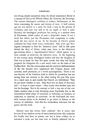has swung almost completely from the divine immanence theory to a concept of God as the Wholly Other, the Absolute, the Sovereign. The current theological confusion is evident, furthermore, in the views concerning the nature and destiny of man. A half century ago sin was viewed as a quest for God, a step in the process of evolution, and man was said to be an angel, at least a saint. Recently the theological pendulum has swung to a modern form of Flacianism, which makes of man a despicable worm, if not a devil, but which, just like Flacianism, fails completely to understand the true nature of sin. In the doctrine of Christ's person confusion has been made worse confounded. Fifty years ago theologians attempted to find the "historical Jesus" and in this quest denied the deity of Christ; today men listen to the dialectical speculations about a "superhistorical Christ," which ignore, or at least consider as irrelevant, the historical Jesus. At the beginning of this century many theological leaders said that the kingdom of God was at hand, for they felt quite certain that they had finally prepared the blueprints for a new social order on the basis of the Golden Rule. But the catastrophes and the resultant disillusionment of the last decades have supplanted this Utopian dream with cynicism, stark pessimism, or a weird apocalypticism. There is not one doctrine of the Christian faith in which the pendulum has not swung from one extreme to the other during the past fifty years. As a result men in and outside the Church are bewildered. They do not know whither to turn. They have lost all sense of direction, and - at least to some extent - they realize that modern man has lost his bearings. But in his attempt to find a way out of the confusion modern man is only becoming more hopelessly lost in the labyrinthian blind alleys of moralism, or hedonism, or fatalism, or mysticism, or cynicism, or asceticism. At the half-mark the twentieth century seems to be destined to go down in history as the century of confusion. And this has tremendous relevance for the pastor and his work.

II

Natural man has always been confused. But it seems that because of our modern means of intercommunication this confusion has hardly ever been so patent, nor has it been evident on so universal a scale, nor has man ever so frankly admitted his be-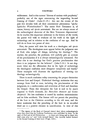wilderment. And is this current "distress of nations with perplexity" probably one of the signs announcing the impending Second Coming of Christ? (Luke 21:25.) Are not the events of the past five decades with all their concomitant phenomena *"apokalyptisches W etterleuchten"?* The entire New Testament is, of course, history *sub specie aeternitatis.* But are we always aware of the eschatological character of the New Testament dispensation? As he reaches this important milestone in the history of the world, the pastor will wish to evaluate all his work in the light of eschatology and in relation to the confusion of our age. And he will do so from two points of view.

First, the pastor will view his work as a theologian *sub specie aeternitatis.* The theologians must appear before the judgment seat of God, who judges all things, including his theology.<sup>\*</sup> The teacher, the preacher, the professor, will joyfully give an account of his proclamation if it is always eschatologically orientated. For what else is our theology but God's gracious proclamation that there is no judgment for the believer? (John 5:24.) Is our dogmatic labor not the affirmation that in the light of eschatology the theological confusion must disappear completely and finally? Three examples will illustrate the significance of viewing our theology eschatologically.

There is much confusion today concerning the proper distinction between Law and Gospel. Dialectical theology maintains that any message from God to man, including the proclamation of His judgments, is a condescension and revelation of God and therefore the Gospel. From this viewpoint the Law is said to be man's response to God's demands, *des Menschen Antwort auf Gottes Anspruch.* No less confusion is caused by modern antinomianism and its false antithesis. The former will not permit the preaching of the Law to the Christian according to the old man, and the latter maintains that the preaching of the Law in its so-called third use is a positive element in sanctification. In view of this

<sup>&</sup>quot; The signers of the Book of Concord viewed their labors eschatologically when they stated that the Lutheran Confessions were published by them "in the when they stated that the Lutheran Contessions were published by them In the *sight of God* and of all Christendom . . . to those now living and to those who shall come after us," and "with intrepid hearts" they joyously l to the Second Coming of their Lord *(Trigl.,* 1103).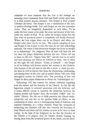confusion we must maintain that the Law is the message announcing man's separation from God and God's wrath upon man. It is *Deus propter peccata damnans.* The Gospel is *Deus propter Christum absolvens.* The Gospel is not a continuation of the Law, as modern theology holds. Law and Gospel are not two concentric circles. They are completely diametrical to each other. To be under the Law means to be under the curse and tyranny of the Law, under the verdict of God. To be under the Gospel means that the Law with its tyrannical power is completely and finally devoured. Where the Law reigns, there can be no Gospel, and where the Gospel rules, there can be no Law. The current mingling of Law and Gospel is due in part to this, that men do not take eschatology seriously. For where is this distinction brought into focus so sharply as in eschatology? On Judgment Day all men will hear for the last time the proper distinction between the two. Christ will say to those on His left: "Depart from Me!" and the Law in its awful and final meaning will forever be fulfilled in them. But to those on His right He will declare: "Come, ye blessed!" - the Gospel in all its fullness will forever resolve the tensions in the Christian who because of his old man in this life is *iustus et simul peccator,*  for there he will be forever free from the threatening, condemning, and driving force of the Law and in perfect liberty will serve God throughout eternity for Christ's sake. The preaching of Law and Gospel in their proper distinction is always an "eschatological act."

Eschatology will also remove the current confusion regarding both the essence and the function of the Church. In this life the hypocrites mingle in outward association with the believers, and it seems difficult always to maintain the distinction between the Church *proprie* and *largiter dicta,* the so-called "visible" and "invisible" Church. But the eye of faith perceives the Church eschatologically and sees her as the spotless bride of Christ, as the communion of saints, not as a heterogeneous body of believers and nominal Christians, as a *corpus mixtum.* From the viewpoint of eschatology the Christian will also view correctly the functions of both Church and State and his relation to each as he lives in both realms. In the light of the Judgment we see that the function of the Church is to prepare men for Christ's Second Coming, by freeing them from the tyrannical power of sin, death, and the devil.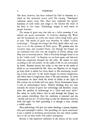The State, however, has been ordained by God to function as a check on this tyrannical power until His coming. Theological confusion ensues every time when men confound the specific functions of each realm and assign to the Church the work of the State or vice versa. Eschatology assigns to each estate its proper function.

The means of grace may also take on a fuller meaning if considered *sub specie aeternitatis*. In Lutheran theology the Word and the Sacraments are really the means which bring God's grace to man. The means of grace may therefore be called "realized eschatology." Through the Gospel the Holy Spirit offers and conveys to us all the treasures of God's grace. We possess now the crucified, risen, and ascended Christ, and through the Gospel we are translated even now into the kingdom of Christ, sitting with Him now in heavenly places. This *is* forcefully brought home to us in the "visible word." In Baptism we are born again, and this new birth has completely changed the old order. By nature we exist according to the old maxim: In the midst of life we are surrounded by death. Baptism inverts this order, so that now in the midst of death we are surrounded by life. Since our Baptism we no longer go from birth to death, but from death to life everlasting according to body and soul. In the Lord's Supper we receive forgiveness, and where there is forgiveness, there *is* life and salvation. At every Communion we show forth the death of Christ in the light of His *coming,* for, as Loehe said very aptly: Every Communion hymn is also an eschatological hymn. Modern theology does not take seriously the means of grace nor eschatology and therefore cannot solve the paradox of eschatology as a *"Jetzt und noch nicht."*  But when we really believe that in and through the Gospel we now possess everything, then the confusion is removed and the "already and not yet" of eschatology is only the distinction between faith and sight: by faith possessing it as though it were already a visible reality.

Thus eschatology will give our entire theology a joyous, hopeful, rich, and meaningful content. Our preaching *sub specie aeternitatis*  is not a morbid or terrifying proclamation, but one which enables men to lift up their heads with joyful anticipation.

Second, at this important milestone in the history of the world